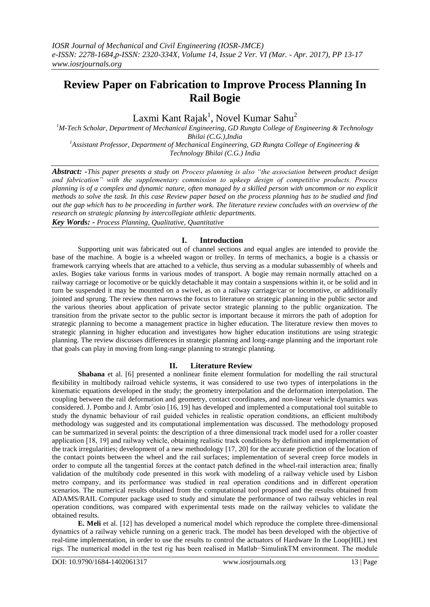# **Review Paper on Fabrication to Improve Process Planning In Rail Bogie**

Laxmi Kant Rajak<sup>1</sup>, Novel Kumar Sahu<sup>2</sup>

*<sup>1</sup>M-Tech Scholar, Department of Mechanical Engineering, GD Rungta College of Engineering & Technology Bhilai (C.G.),India <sup>1</sup>Assistant Professor, Department of Mechanical Engineering, GD Rungta College of Engineering & Technology Bhilai (C.G.) India*

*Abstract: -This paper presents a study on Process planning is also "the association between product design and fabrication" with the supplementary commission to upkeep design of competitive products. Process planning is of a complex and dynamic nature, often managed by a skilled person with uncommon or no explicit methods to solve the task. In this case Review paper based on the process planning has to be studied and find out the gap which has to be proceeding in further work. The literature review concludes with an overview of the research on strategic planning by intercollegiate athletic departments.*

*Key Words: - Process Planning, Qualitative, Quantitative*

## **I. Introduction**

Supporting unit was fabricated out of channel sections and equal angles are intended to provide the base of the machine. A bogie is a wheeled wagon or trolley. In terms of mechanics, a bogie is a chassis or framework carrying wheels that are attached to a vehicle, thus serving as a modular subassembly of wheels and axles. Bogies take various forms in various modes of transport. A bogie may remain normally attached on a railway carriage or locomotive or be quickly detachable it may contain a suspensions within it, or be solid and in turn be suspended it may be mounted on a swivel, as on a railway carriage/car or locomotive, or additionally jointed and sprung. The review then narrows the focus to literature on strategic planning in the public sector and the various theories about application of private sector strategic planning to the public organization. The transition from the private sector to the public sector is important because it mirrors the path of adoption for strategic planning to become a management practice in higher education. The literature review then moves to strategic planning in higher education and investigates how higher education institutions are using strategic planning. The review discusses differences in strategic planning and long-range planning and the important role that goals can play in moving from long-range planning to strategic planning.

### **II. Literature Review**

**Shabana** et al. [6] presented a nonlinear finite element formulation for modelling the rail structural flexibility in multibody railroad vehicle systems, it was considered to use two types of interpolations in the kinematic equations developed in the study; the geometry interpolation and the deformation interpolation. The coupling between the rail deformation and geometry, contact coordinates, and non-linear vehicle dynamics was considered. J. Pombo and J. Ambr´osio [16, 19] has developed and implemented a computational tool suitable to study the dynamic behaviour of rail guided vehicles in realistic operation conditions, an efficient multibody methodology was suggested and its computational implementation was discussed. The methodology proposed can be summarized in several points: the description of a three dimensional track model used for a roller coaster application [18, 19] and railway vehicle, obtaining realistic track conditions by definition and implementation of the track irregularities; development of a new methodology [17, 20] for the accurate prediction of the location of the contact points between the wheel and the rail surfaces; implementation of several creep force models in order to compute all the tangential forces at the contact patch defined in the wheel-rail interaction area; finally validation of the multibody code presented in this work with modeling of a railway vehicle used by Lisbon metro company, and its performance was studied in real operation conditions and in different operation scenarios. The numerical results obtained from the computational tool proposed and the results obtained from ADAMS/RAIL Computer package used to study and simulate the performance of two railway vehicles in real operation conditions, was compared with experimental tests made on the railway vehicles to validate the obtained results.

**E. Meli** et al. [12] has developed a numerical model which reproduce the complete three-dimensional dynamics of a railway vehicle running on a generic track. The model has been developed with the objective of real-time implementation, in order to use the results to control the actuators of Hardware In the Loop(HIL) test rigs. The numerical model in the test rig has been realised in Matlab−SimulinkTM environment. The module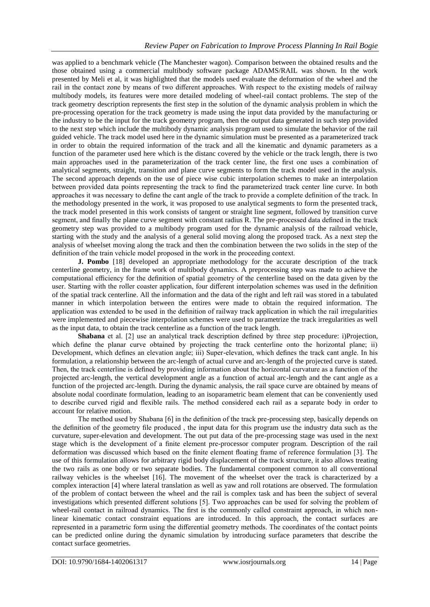was applied to a benchmark vehicle (The Manchester wagon). Comparison between the obtained results and the those obtained using a commercial multibody software package ADAMS/RAIL was shown. In the work presented by Meli et al, it was highlighted that the models used evaluate the deformation of the wheel and the rail in the contact zone by means of two different approaches. With respect to the existing models of railway multibody models, its features were more detailed modeling of wheel-rail contact problems. The step of the track geometry description represents the first step in the solution of the dynamic analysis problem in which the pre-processing operation for the track geometry is made using the input data provided by the manufacturing or the industry to be the input for the track geometry program, then the output data generated in such step provided to the next step which include the multibody dynamic analysis program used to simulate the behavior of the rail guided vehicle. The track model used here in the dynamic simulation must be presented as a parameterized track in order to obtain the required information of the track and all the kinematic and dynamic parameters as a function of the parameter used here which is the distanc covered by the vehicle or the track length, there is two main approaches used in the parameterization of the track center line, the first one uses a combination of analytical segments, straight, transition and plane curve segments to form the track model used in the analysis. The second approach depends on the use of piece wise cubic interpolation schemes to make an interpolation between provided data points representing the track to find the parameterized track center line curve. In both approaches it was necessary to define the cant angle of the track to provide a complete definition of the track. In the methodology presented in the work, it was proposed to use analytical segments to form the presented track, the track model presented in this work consists of tangent or straight line segment, followed by transition curve segment, and finally the plane curve segment with constant radius R. The pre-processed data defined in the track geometry step was provided to a multibody program used for the dynamic analysis of the railroad vehicle, starting with the study and the analysis of a general solid moving along the proposed track. As a next step the analysis of wheelset moving along the track and then the combination between the two solids in the step of the definition of the train vehicle model proposed in the work in the proceeding context.

**J. Pombo** [18] developed an appropriate methodology for the accurate description of the track centerline geometry, in the frame work of multibody dynamics. A preprocessing step was made to achieve the computational efficiency for the definition of spatial geometry of the centerline based on the data given by the user. Starting with the roller coaster application, four different interpolation schemes was used in the definition of the spatial track centerline. All the information and the data of the right and left rail was stored in a tabulated manner in which interpolation between the entires were made to obtain the required information. The application was extended to be used in the definition of railway track application in which the rail irregularities were implemented and piecewise interpolation schemes were used to parametrize the track irregularities as well as the input data, to obtain the track centerline as a function of the track length.

**Shabana** et al. [2] use an analytical track description defined by three step procedure: i)Projection, which define the planar curve obtained by projecting the track centerline onto the horizontal plane; ii) Development, which defines an elevation angle; iii) Super-elevation, which defines the track cant angle. In his formulation, a relationship between the arc-length of actual curve and arc-length of the projected curve is stated. Then, the track centerline is defined by providing information about the horizontal curvature as a function of the projected arc-length, the vertical development angle as a function of actual arc-length and the cant angle as a function of the projected arc-length. During the dynamic analysis, the rail space curve are obtained by means of absolute nodal coordinate formulation, leading to an isoparametric beam element that can be conveniently used to describe curved rigid and flexible rails. The method considered each rail as a separate body in order to account for relative motion.

The method used by Shabana [6] in the definition of the track pre-processing step, basically depends on the definition of the geometry file produced , the input data for this program use the industry data such as the curvature, super-elevation and development. The out put data of the pre-processing stage was used in the next stage which is the development of a finite element pre-processor computer program. Description of the rail deformation was discussed which based on the finite element floating frame of reference formulation [3]. The use of this formulation allows for arbitrary rigid body displacement of the track structure, it also allows treating the two rails as one body or two separate bodies. The fundamental component common to all conventional railway vehicles is the wheelset [16]. The movement of the wheelset over the track is characterized by a complex interaction [4] where lateral translation as well as yaw and roll rotations are observed. The formulation of the problem of contact between the wheel and the rail is complex task and has been the subject of several investigations which presented different solutions [5]. Two approaches can be used for solving the problem of wheel-rail contact in railroad dynamics. The first is the commonly called constraint approach, in which nonlinear kinematic contact constraint equations are introduced. In this approach, the contact surfaces are represented in a parametric form using the differential geometry methods. The coordinates of the contact points can be predicted online during the dynamic simulation by introducing surface parameters that describe the contact surface geometries.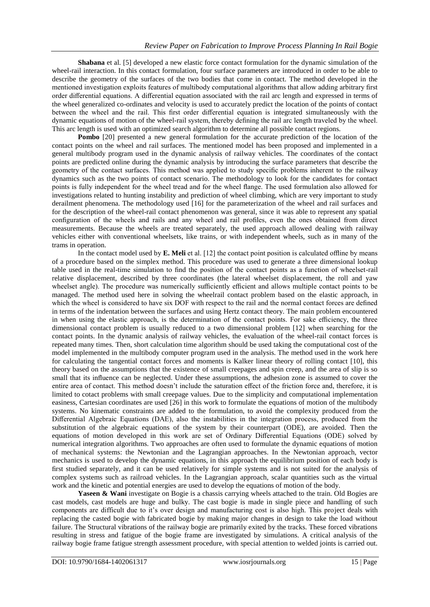**Shabana** et al. [5] developed a new elastic force contact formulation for the dynamic simulation of the wheel-rail interaction. In this contact formulation, four surface parameters are introduced in order to be able to describe the geometry of the surfaces of the two bodies that come in contact. The method developed in the mentioned investigation exploits features of multibody computational algorithms that allow adding arbitrary first order differential equations. A differential equation associated with the rail arc length and expressed in terms of the wheel generalized co-ordinates and velocity is used to accurately predict the location of the points of contact between the wheel and the rail. This first order differential equation is integrated simultaneously with the dynamic equations of motion of the wheel-rail system, thereby defining the rail arc length traveled by the wheel. This arc length is used with an optimized search algorithm to determine all possible contact regions.

**Pombo** [20] presented a new general formulation for the accurate prediction of the location of the contact points on the wheel and rail surfaces. The mentioned model has been proposed and implemented in a general multibody program used in the dynamic analysis of railway vehicles. The coordinates of the contact points are predicted online during the dynamic analysis by introducing the surface parameters that describe the geometry of the contact surfaces. This method was applied to study specific problems inherent to the railway dynamics such as the two points of contact scenario. The methodology to look for the candidates for contact points is fully independent for the wheel tread and for the wheel flange. The used formulation also allowed for investigations related to hunting instability and prediction of wheel climbing, which are very important to study derailment phenomena. The methodology used [16] for the parameterization of the wheel and rail surfaces and for the description of the wheel-rail contact phenomenon was general, since it was able to represent any spatial configuration of the wheels and rails and any wheel and rail profiles, even the ones obtained from direct measurements. Because the wheels are treated separately, the used approach allowed dealing with railway vehicles either with conventional wheelsets, like trains, or with independent wheels, such as in many of the trams in operation.

In the contact model used by **E. Meli** et al. [12] the contact point position is calculated offline by means of a procedure based on the simplex method. This procedure was used to generate a three dimensional lookup table used in the real-time simulation to find the position of the contact points as a function of wheelset-rail relative displacement, described by three coordinates (the lateral wheelset displacement, the roll and yaw wheelset angle). The procedure was numerically sufficiently efficient and allows multiple contact points to be managed. The method used here in solving the wheelrail contact problem based on the elastic approach, in which the wheel is considered to have six DOF with respect to the rail and the normal contact forces are defined in terms of the indentation between the surfaces and using Hertz contact theory. The main problem encountered in when using the elastic approach, is the determination of the contact points. For sake efficiency, the three dimensional contact problem is usually reduced to a two dimensional problem [12] when searching for the contact points. In the dynamic analysis of railway vehicles, the evaluation of the wheel-rail contact forces is repeated many times. Then, short calculation time algorithm should be used taking the computational cost of the model implemented in the multibody computer program used in the analysis. The method used in the work here for calculating the tangential contact forces and moments is Kalker linear theory of rolling contact [10], this theory based on the assumptions that the existence of small creepages and spin creep, and the area of slip is so small that its influence can be neglected. Under these assumptions, the adhesion zone is assumed to cover the entire area of contact. This method doesn't include the saturation effect of the friction force and, therefore, it is limited to cotact problems with small creepage values. Due to the simplicity and computational implementation easiness, Cartesian coordinates are used [26] in this work to formulate the equations of motion of the multibody systems. No kinematic constraints are added to the formulation, to avoid the complexity produced from the Differential Algebraic Equations (DAE), also the instabilities in the integration process, produced from the substitution of the algebraic equations of the system by their counterpart (ODE), are avoided. Then the equations of motion developed in this work are set of Ordinary Differential Equations (ODE) solved by numerical integration algorithms. Two approaches are often used to formulate the dynamic equations of motion of mechanical systems: the Newtonian and the Lagrangian approaches. In the Newtonian approach, vector mechanics is used to develop the dynamic equations, in this approach the equilibrium position of each body is first studied separately, and it can be used relatively for simple systems and is not suited for the analysis of complex systems such as railroad vehicles. In the Lagrangian approach, scalar quantities such as the virtual work and the kinetic and potential energies are used to develop the equations of motion of the body.

**Yaseen & Wani** investigate on Bogie is a chassis carrying wheels attached to the train. Old Bogies are cast models, cast models are huge and bulky. The cast bogie is made in single piece and handling of such components are difficult due to it's over design and manufacturing cost is also high. This project deals with replacing the casted bogie with fabricated bogie by making major changes in design to take the load without failure. The Structural vibrations of the railway bogie are primarily exited by the tracks. These forced vibrations resulting in stress and fatigue of the bogie frame are investigated by simulations. A critical analysis of the railway bogie frame fatigue strength assessment procedure, with special attention to welded joints is carried out.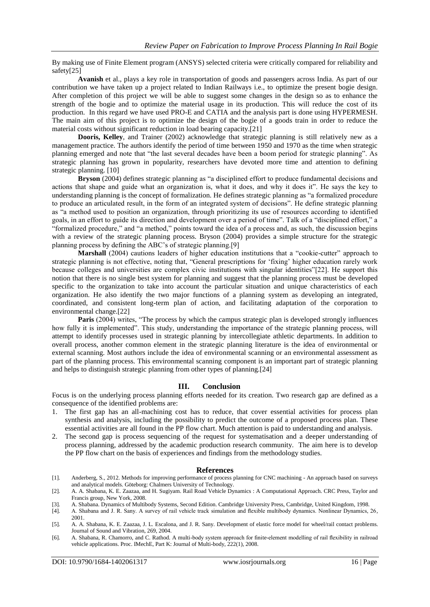By making use of Finite Element program (ANSYS) selected criteria were critically compared for reliability and safety[25]

**Avanish** et al., plays a key role in transportation of goods and passengers across India. As part of our contribution we have taken up a project related to Indian Railways i.e., to optimize the present bogie design. After completion of this project we will be able to suggest some changes in the design so as to enhance the strength of the bogie and to optimize the material usage in its production. This will reduce the cost of its production. In this regard we have used PRO-E and CATIA and the analysis part is done using HYPERMESH. The main aim of this project is to optimize the design of the bogie of a goods train in order to reduce the material costs without significant reduction in load bearing capacity.[21]

**Dooris, Kelley**, and Trainer (2002) acknowledge that strategic planning is still relatively new as a management practice. The authors identify the period of time between 1950 and 1970 as the time when strategic planning emerged and note that "the last several decades have been a boom period for strategic planning". As strategic planning has grown in popularity, researchers have devoted more time and attention to defining strategic planning. [10]

**Bryson** (2004) defines strategic planning as "a disciplined effort to produce fundamental decisions and actions that shape and guide what an organization is, what it does, and why it does it". He says the key to understanding planning is the concept of formalization. He defines strategic planning as "a formalized procedure to produce an articulated result, in the form of an integrated system of decisions". He define strategic planning as "a method used to position an organization, through prioritizing its use of resources according to identified goals, in an effort to guide its direction and development over a period of time". Talk of a "disciplined effort," a "formalized procedure," and "a method," points toward the idea of a process and, as such, the discussion begins with a review of the strategic planning process. Bryson (2004) provides a simple structure for the strategic planning process by defining the ABC's of strategic planning.[9]

**Marshall** (2004) cautions leaders of higher education institutions that a "cookie-cutter" approach to strategic planning is not effective, noting that, "General prescriptions for 'fixing' higher education rarely work because colleges and universities are complex civic institutions with singular identities"[22]. He support this notion that there is no single best system for planning and suggest that the planning process must be developed specific to the organization to take into account the particular situation and unique characteristics of each organization. He also identify the two major functions of a planning system as developing an integrated, coordinated, and consistent long-term plan of action, and facilitating adaptation of the corporation to environmental change.[22]

**Paris** (2004) writes, "The process by which the campus strategic plan is developed strongly influences how fully it is implemented". This study, understanding the importance of the strategic planning process, will attempt to identify processes used in strategic planning by intercollegiate athletic departments. In addition to overall process, another common element in the strategic planning literature is the idea of environmental or external scanning. Most authors include the idea of environmental scanning or an environmental assessment as part of the planning process. This environmental scanning component is an important part of strategic planning and helps to distinguish strategic planning from other types of planning.[24]

#### **III. Conclusion**

Focus is on the underlying process planning efforts needed for its creation. Two research gap are defined as a consequence of the identified problems are:

- 1. The first gap has an all-machining cost has to reduce, that cover essential activities for process plan synthesis and analysis, including the possibility to predict the outcome of a proposed process plan. These essential activities are all found in the PP flow chart. Much attention is paid to understanding and analysis.
- 2. The second gap is process sequencing of the request for systematisation and a deeper understanding of process planning, addressed by the academic production research community. The aim here is to develop the PP flow chart on the basis of experiences and findings from the methodology studies.

#### **References**

- [1]. Anderberg, S., 2012. Methods for improving performance of process planning for CNC machining An approach based on surveys and analytical models. Göteborg: Chalmers University of Technology.
- [2]. A. A. Shabana, K. E. Zaazaa, and H. Sugiyam. Rail Road Vehicle Dynamics : A Computational Approach. CRC Press, Taylor and Francis group, New York, 2008.
- [3]. A. Shabana. Dynamics of Multibody Systems, Second Edition. Cambridge University Press, Cambridge, United Kingdom, 1998.
- [4]. A. Shabana and J. R. Sany. A survey of rail vehicle track simulation and flexible multibody dynamics. Nonlinear Dynamics, 26, 2001.
- [5]. A. A. Shabana, K. E. Zaazaa, J. L. Escalona, and J. R. Sany. Development of elastic force model for wheel/rail contact problems. Journal of Sound and Vibration, 269, 2004.
- [6]. A. Shabana, R. Chamorro, and C. Rathod. A multi-body system approach for finite-element modelling of rail flexibility in railroad vehicle applications. Proc. IMechE, Part K: Journal of Multi-body, 222(1), 2008.